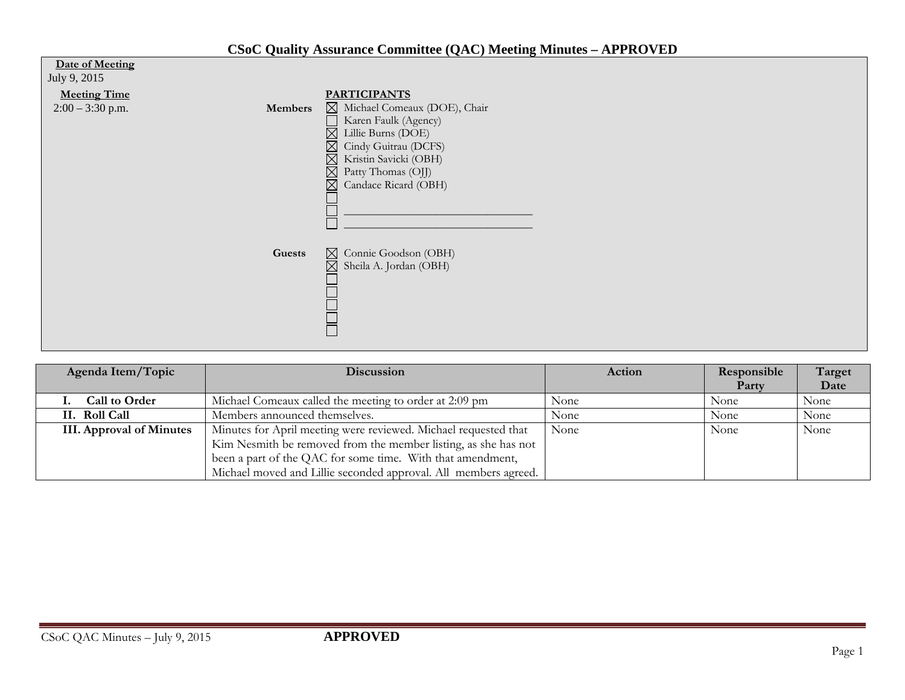## **CSoC Quality Assurance Committee (QAC) Meeting Minutes – APPROVED**

| Date of Meeting<br>July 9, 2015           |         |                                                                                                                                                                                                                                                                                      |
|-------------------------------------------|---------|--------------------------------------------------------------------------------------------------------------------------------------------------------------------------------------------------------------------------------------------------------------------------------------|
| <b>Meeting Time</b><br>$2:00 - 3:30$ p.m. | Members | <b>PARTICIPANTS</b><br>$\boxtimes$ Michael Comeaux (DOE), Chair<br>Karen Faulk (Agency)<br>Lillie Burns (DOE)<br>$\times$<br>Cindy Guitrau (DCFS)<br>$\boxtimes$<br>$\boxtimes$<br>Kristin Savicki (OBH)<br>$\boxtimes$<br>Patty Thomas (OJJ)<br>Candace Ricard (OBH)<br>$\boxtimes$ |
|                                           | Guests  | ⊠ Connie Goodson (OBH)<br>$\boxtimes$<br>Sheila A. Jordan (OBH)<br>⊨                                                                                                                                                                                                                 |

| Agenda Item/Topic               | <b>Discussion</b>                                               | Action | Responsible | Target |
|---------------------------------|-----------------------------------------------------------------|--------|-------------|--------|
|                                 |                                                                 |        | Party       | Date   |
| <b>Call to Order</b>            | Michael Comeaux called the meeting to order at 2:09 pm          | None   | None        | None   |
| II. Roll Call                   | Members announced themselves.                                   | None   | None        | None   |
| <b>III. Approval of Minutes</b> | Minutes for April meeting were reviewed. Michael requested that | None   | None        | None   |
|                                 | Kim Nesmith be removed from the member listing, as she has not  |        |             |        |
|                                 | been a part of the QAC for some time. With that amendment,      |        |             |        |
|                                 | Michael moved and Lillie seconded approval. All members agreed. |        |             |        |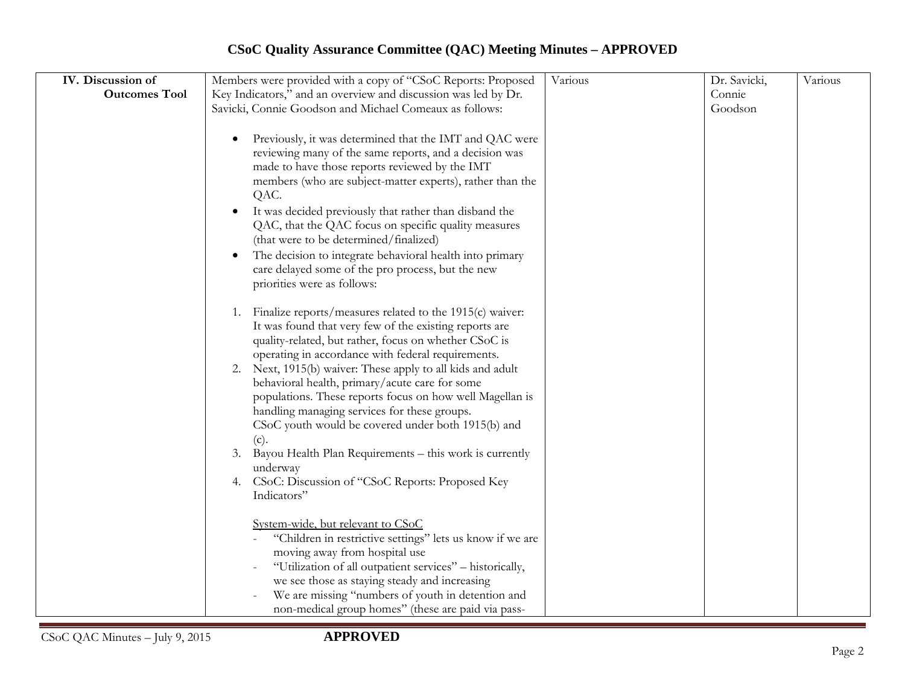## **CSoC Quality Assurance Committee (QAC) Meeting Minutes – APPROVED**

| IV. Discussion of    | Members were provided with a copy of "CSoC Reports: Proposed   | Various | Dr. Savicki, | Various |
|----------------------|----------------------------------------------------------------|---------|--------------|---------|
| <b>Outcomes Tool</b> | Key Indicators," and an overview and discussion was led by Dr. |         | Connie       |         |
|                      | Savicki, Connie Goodson and Michael Comeaux as follows:        |         | Goodson      |         |
|                      |                                                                |         |              |         |
|                      | Previously, it was determined that the IMT and QAC were        |         |              |         |
|                      | reviewing many of the same reports, and a decision was         |         |              |         |
|                      | made to have those reports reviewed by the IMT                 |         |              |         |
|                      | members (who are subject-matter experts), rather than the      |         |              |         |
|                      | QAC.                                                           |         |              |         |
|                      | It was decided previously that rather than disband the         |         |              |         |
|                      | QAC, that the QAC focus on specific quality measures           |         |              |         |
|                      | (that were to be determined/finalized)                         |         |              |         |
|                      | The decision to integrate behavioral health into primary       |         |              |         |
|                      | care delayed some of the pro process, but the new              |         |              |         |
|                      | priorities were as follows:                                    |         |              |         |
|                      |                                                                |         |              |         |
|                      | Finalize reports/measures related to the 1915(c) waiver:<br>1. |         |              |         |
|                      | It was found that very few of the existing reports are         |         |              |         |
|                      | quality-related, but rather, focus on whether CSoC is          |         |              |         |
|                      | operating in accordance with federal requirements.             |         |              |         |
|                      | 2. Next, 1915(b) waiver: These apply to all kids and adult     |         |              |         |
|                      | behavioral health, primary/acute care for some                 |         |              |         |
|                      | populations. These reports focus on how well Magellan is       |         |              |         |
|                      | handling managing services for these groups.                   |         |              |         |
|                      | CSoC youth would be covered under both 1915(b) and             |         |              |         |
|                      | (c).                                                           |         |              |         |
|                      | Bayou Health Plan Requirements - this work is currently<br>3.  |         |              |         |
|                      | underway                                                       |         |              |         |
|                      | 4. CSoC: Discussion of "CSoC Reports: Proposed Key             |         |              |         |
|                      | Indicators"                                                    |         |              |         |
|                      |                                                                |         |              |         |
|                      | System-wide, but relevant to CSoC                              |         |              |         |
|                      | "Children in restrictive settings" lets us know if we are      |         |              |         |
|                      | moving away from hospital use                                  |         |              |         |
|                      | "Utilization of all outpatient services" - historically,       |         |              |         |
|                      | we see those as staying steady and increasing                  |         |              |         |
|                      | We are missing "numbers of youth in detention and              |         |              |         |
|                      | non-medical group homes" (these are paid via pass-             |         |              |         |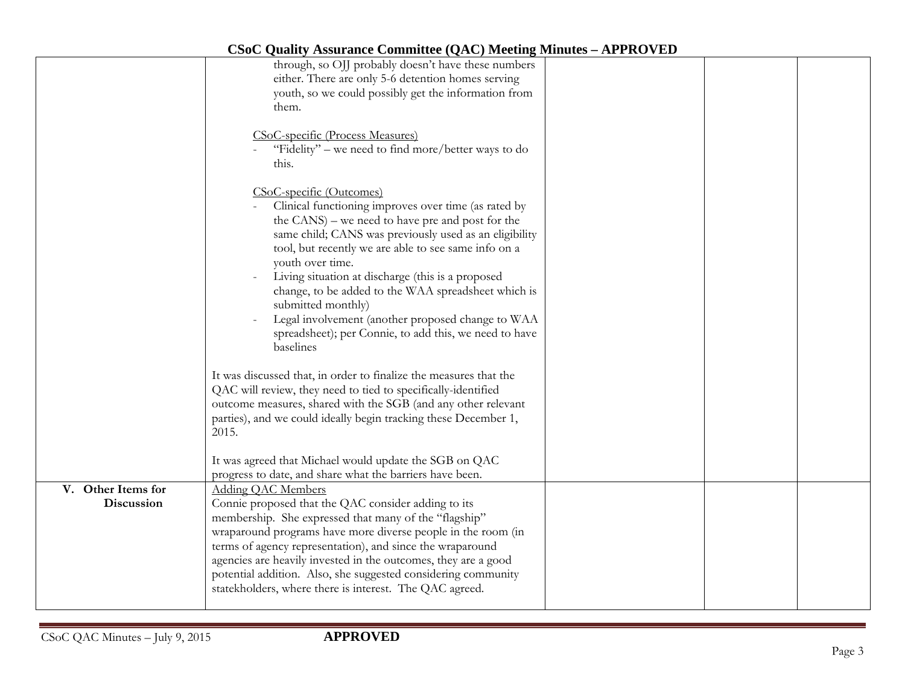|                                  | through, so OJJ probably doesn't have these numbers<br>either. There are only 5-6 detention homes serving<br>youth, so we could possibly get the information from<br>them.                                                                                                                                                                                                                                                                                                                                                               |  |  |
|----------------------------------|------------------------------------------------------------------------------------------------------------------------------------------------------------------------------------------------------------------------------------------------------------------------------------------------------------------------------------------------------------------------------------------------------------------------------------------------------------------------------------------------------------------------------------------|--|--|
|                                  | CSoC-specific (Process Measures)<br>"Fidelity" – we need to find more/better ways to do<br>this.                                                                                                                                                                                                                                                                                                                                                                                                                                         |  |  |
|                                  | CSoC-specific (Outcomes)<br>Clinical functioning improves over time (as rated by<br>the CANS) – we need to have pre and post for the<br>same child; CANS was previously used as an eligibility<br>tool, but recently we are able to see same info on a<br>youth over time.<br>Living situation at discharge (this is a proposed<br>change, to be added to the WAA spreadsheet which is<br>submitted monthly)<br>Legal involvement (another proposed change to WAA<br>spreadsheet); per Connie, to add this, we need to have<br>baselines |  |  |
|                                  | It was discussed that, in order to finalize the measures that the<br>QAC will review, they need to tied to specifically-identified<br>outcome measures, shared with the SGB (and any other relevant<br>parties), and we could ideally begin tracking these December 1,<br>2015.<br>It was agreed that Michael would update the SGB on QAC                                                                                                                                                                                                |  |  |
| V. Other Items for<br>Discussion | progress to date, and share what the barriers have been.<br>Adding QAC Members<br>Connie proposed that the QAC consider adding to its<br>membership. She expressed that many of the "flagship"<br>wraparound programs have more diverse people in the room (in<br>terms of agency representation), and since the wraparound<br>agencies are heavily invested in the outcomes, they are a good<br>potential addition. Also, she suggested considering community<br>statekholders, where there is interest. The QAC agreed.                |  |  |